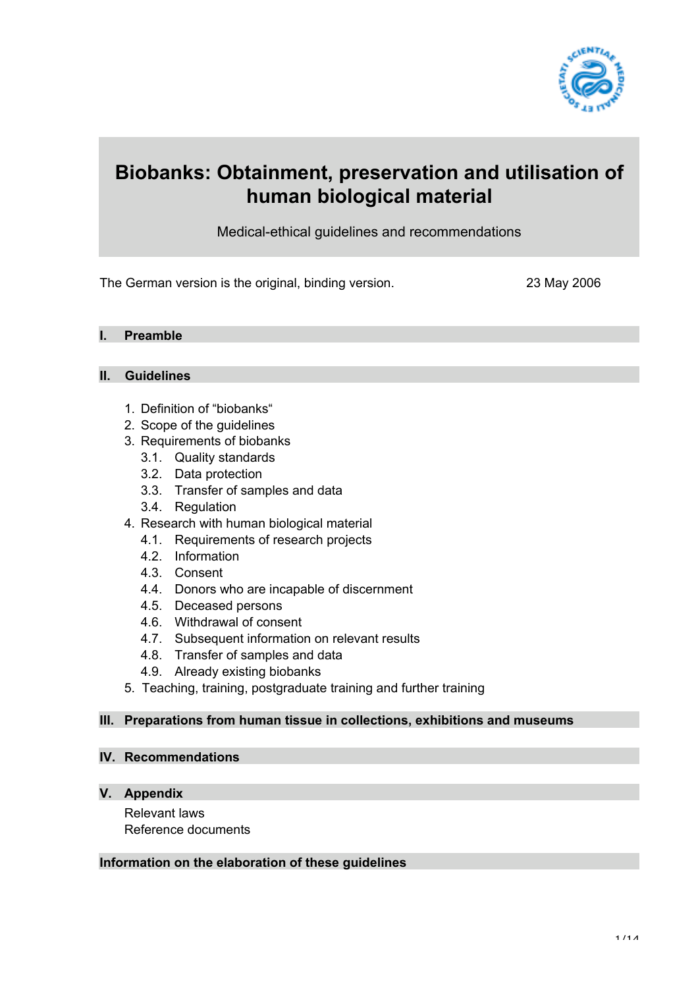

# **Biobanks: Obtainment, preservation and utilisation of human biological material**

Medical-ethical guidelines and recommendations

The German version is the original, binding version. 23 May 2006

#### **I. Preamble**

#### **II. Guidelines**

- 1. Definition of "biobanks"
- 2. Scope of the guidelines
- 3. Requirements of biobanks
	- 3.1. Quality standards
	- 3.2. Data protection
	- 3.3. Transfer of samples and data
	- 3.4. Regulation
- 4. Research with human biological material
	- 4.1. Requirements of research projects
	- 4.2. Information
	- 4.3. Consent
	- 4.4. Donors who are incapable of discernment
	- 4.5. Deceased persons
	- 4.6. Withdrawal of consent
	- 4.7. Subsequent information on relevant results
	- 4.8. Transfer of samples and data
	- 4.9. Already existing biobanks
- 5. Teaching, training, postgraduate training and further training

#### **III. Preparations from human tissue in collections, exhibitions and museums**

#### **IV. Recommendations**

#### **V. Appendix**

Relevant laws Reference documents

#### **Information on the elaboration of these guidelines**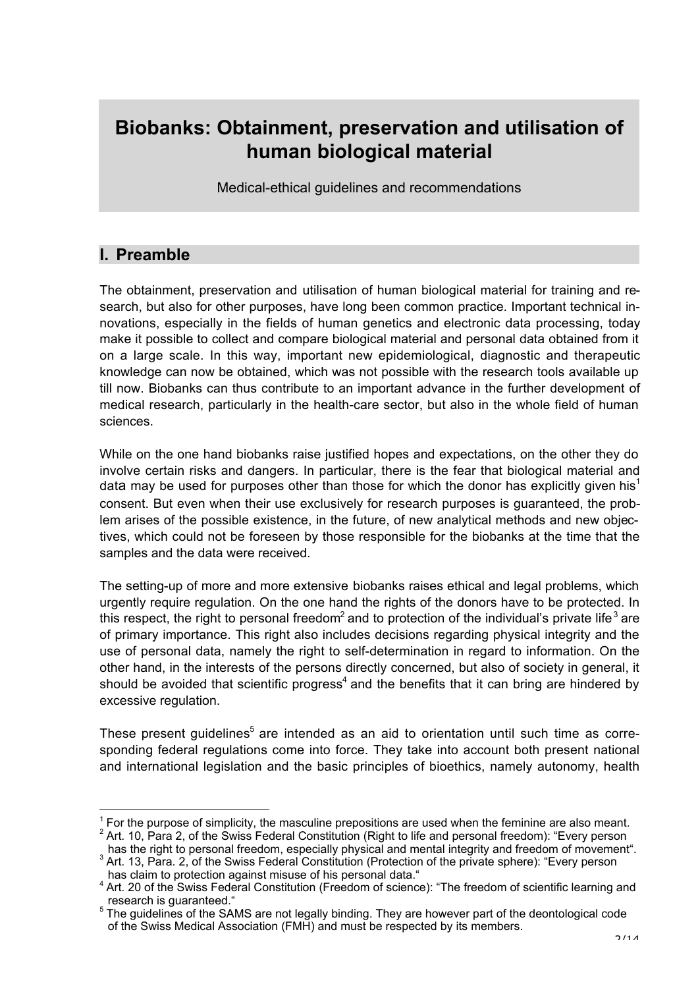# **Biobanks: Obtainment, preservation and utilisation of human biological material**

Medical-ethical guidelines and recommendations

### **I. Preamble**

The obtainment, preservation and utilisation of human biological material for training and research, but also for other purposes, have long been common practice. Important technical innovations, especially in the fields of human genetics and electronic data processing, today make it possible to collect and compare biological material and personal data obtained from it on a large scale. In this way, important new epidemiological, diagnostic and therapeutic knowledge can now be obtained, which was not possible with the research tools available up till now. Biobanks can thus contribute to an important advance in the further development of medical research, particularly in the health-care sector, but also in the whole field of human sciences.

While on the one hand biobanks raise justified hopes and expectations, on the other they do involve certain risks and dangers. In particular, there is the fear that biological material and data may be used for purposes other than those for which the donor has explicitly given his<sup>1</sup> consent. But even when their use exclusively for research purposes is guaranteed, the problem arises of the possible existence, in the future, of new analytical methods and new objectives, which could not be foreseen by those responsible for the biobanks at the time that the samples and the data were received.

The setting-up of more and more extensive biobanks raises ethical and legal problems, which urgently require regulation. On the one hand the rights of the donors have to be protected. In this respect, the right to personal freedom<sup>2</sup> and to protection of the individual's private life<sup>3</sup> are of primary importance. This right also includes decisions regarding physical integrity and the use of personal data, namely the right to self-determination in regard to information. On the other hand, in the interests of the persons directly concerned, but also of society in general, it should be avoided that scientific progress<sup>4</sup> and the benefits that it can bring are hindered by excessive regulation.

These present quidelines<sup>5</sup> are intended as an aid to orientation until such time as corresponding federal regulations come into force. They take into account both present national and international legislation and the basic principles of bioethics, namely autonomy, health

has the right to personal freedom, especially physical and mental integrity and freedom of movement".<br><sup>3</sup> Art. 13, Para. 2, of the Swiss Federal Constitution (Protection of the private sphere): "Every person

 $\frac{1}{1}$  $<sup>1</sup>$  For the purpose of simplicity, the masculine prepositions are used when the feminine are also meant.</sup>

 $2$  Art. 10, Para 2, of the Swiss Federal Constitution (Right to life and personal freedom): "Every person

has claim to protection against misuse of his personal data."<br><sup>4</sup> Art. 20 of the Swiss Federal Constitution (Freedom of science): "The freedom of scientific learning and

research is guaranteed."<br><sup>5</sup> The guidelines of the SAMS are not legally binding. They are however part of the deontological code of the Swiss Medical Association (FMH) and must be respected by its members.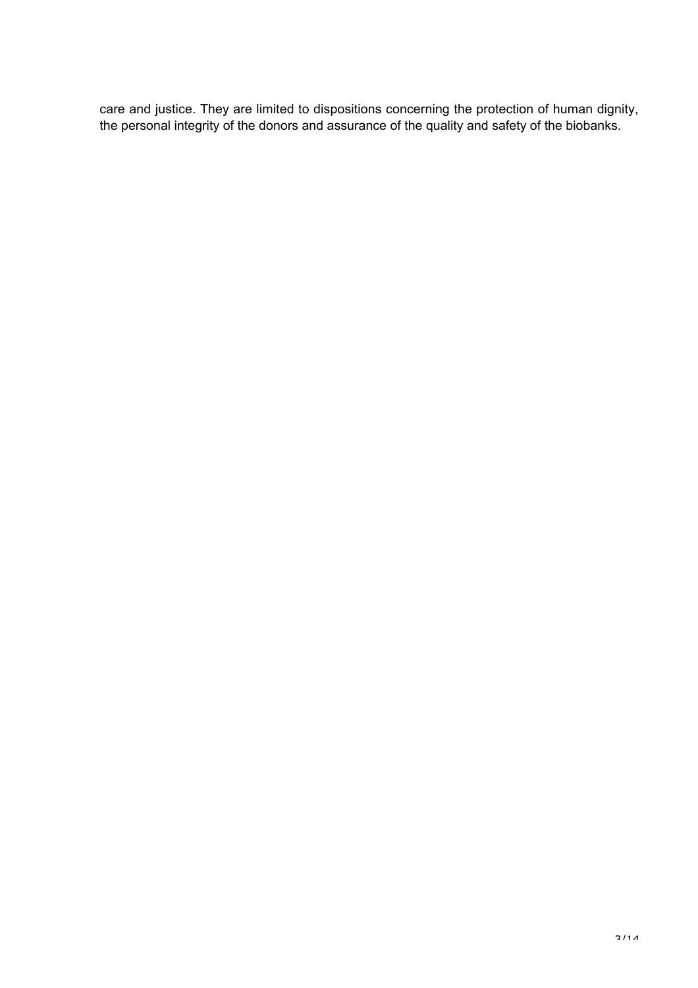care and justice. They are limited to dispositions concerning the protection of human dignity, the personal integrity of the donors and assurance of the quality and safety of the biobanks.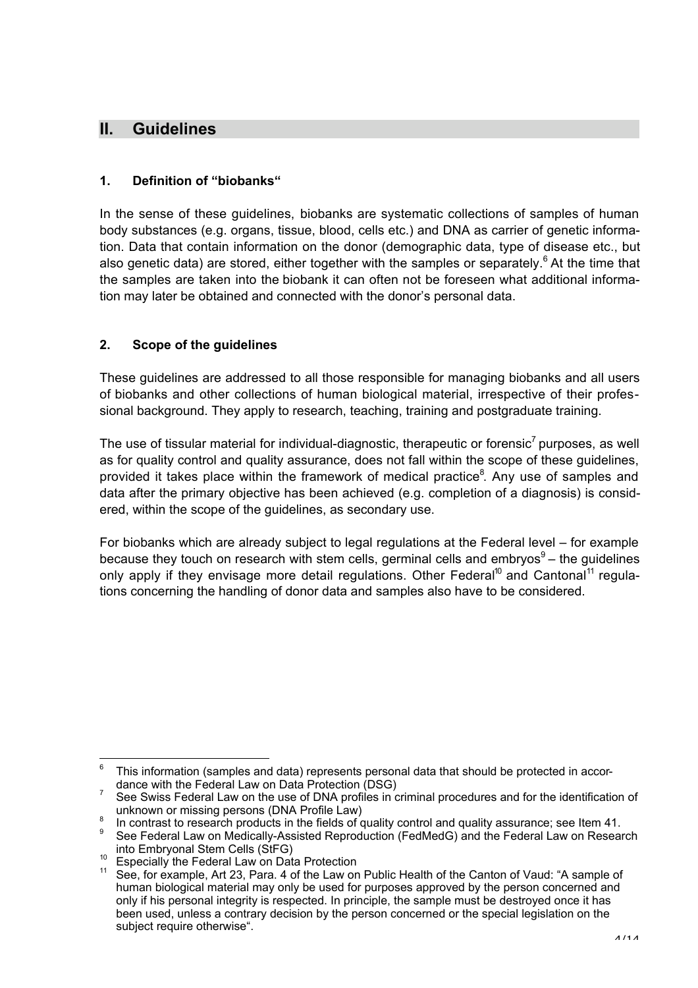### **II. Guidelines**

#### **1. Definition of "biobanks"**

In the sense of these guidelines, biobanks are systematic collections of samples of human body substances (e.g. organs, tissue, blood, cells etc.) and DNA as carrier of genetic information. Data that contain information on the donor (demographic data, type of disease etc., but also genetic data) are stored, either together with the samples or separately.<sup>6</sup> At the time that the samples are taken into the biobank it can often not be foreseen what additional information may later be obtained and connected with the donor's personal data.

#### **2. Scope of the guidelines**

These guidelines are addressed to all those responsible for managing biobanks and all users of biobanks and other collections of human biological material, irrespective of their professional background. They apply to research, teaching, training and postgraduate training.

The use of tissular material for individual-diagnostic, therapeutic or forensic<sup>7</sup> purposes, as well as for quality control and quality assurance, does not fall within the scope of these guidelines, provided it takes place within the framework of medical practice<sup>8</sup>. Any use of samples and data after the primary objective has been achieved (e.g. completion of a diagnosis) is considered, within the scope of the guidelines, as secondary use.

For biobanks which are already subject to legal regulations at the Federal level – for example because they touch on research with stem cells, germinal cells and embryos $9-$  the quidelines only apply if they envisage more detail regulations. Other Federal<sup>10</sup> and Cantonal<sup>11</sup> regulations concerning the handling of donor data and samples also have to be considered.

<sup>–&</sup>lt;br>6  $6$  This information (samples and data) represents personal data that should be protected in accordance with the Federal Law on Data Protection (DSG) <sup>7</sup>

See Swiss Federal Law on the use of DNA profiles in criminal procedures and for the identification of

unknown or missing persons (DNA Profile Law)<br><sup>8</sup> In contrast to research products in the fields of quality control and quality assurance; see Item 41.

See Federal Law on Medically-Assisted Reproduction (FedMedG) and the Federal Law on Research into Embryonal Stem Cells (StFG)<br><sup>10</sup> Especially the Federal Law on Data Protection<br><sup>11</sup> See, for example, Art 23, Para. 4 of the Law on Public Health of the Canton of Vaud: "A sample of

human biological material may only be used for purposes approved by the person concerned and only if his personal integrity is respected. In principle, the sample must be destroyed once it has been used, unless a contrary decision by the person concerned or the special legislation on the subject require otherwise".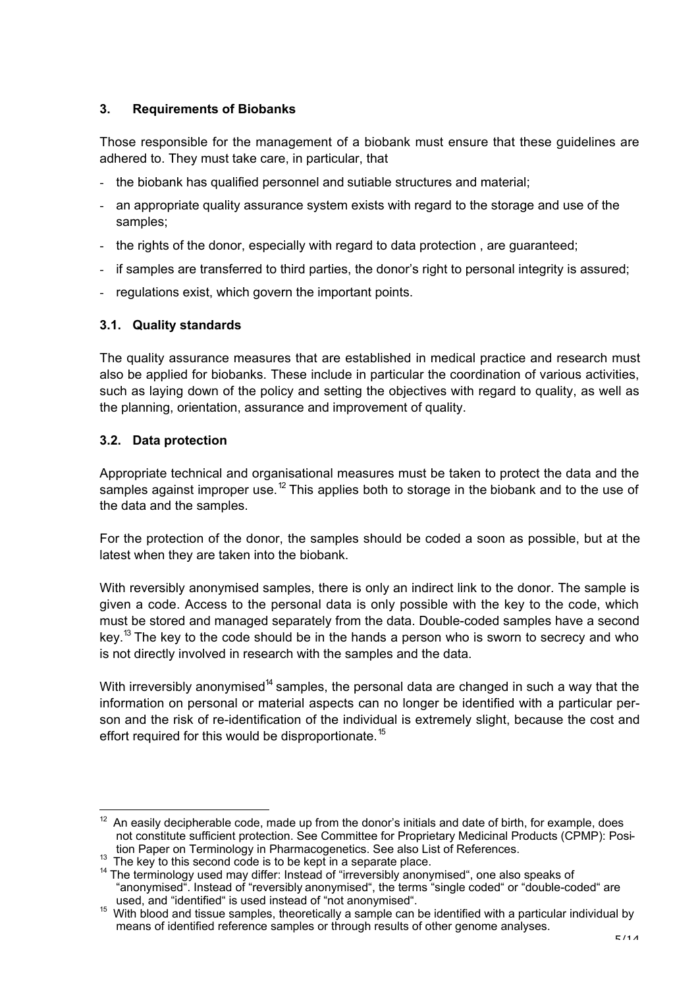#### **3. Requirements of Biobanks**

Those responsible for the management of a biobank must ensure that these guidelines are adhered to. They must take care, in particular, that

- the biobank has qualified personnel and sutiable structures and material;
- an appropriate quality assurance system exists with regard to the storage and use of the samples;
- the rights of the donor, especially with regard to data protection, are guaranteed;
- if samples are transferred to third parties, the donor's right to personal integrity is assured;
- regulations exist, which govern the important points.

#### **3.1. Quality standards**

The quality assurance measures that are established in medical practice and research must also be applied for biobanks. These include in particular the coordination of various activities, such as laying down of the policy and setting the objectives with regard to quality, as well as the planning, orientation, assurance and improvement of quality.

#### **3.2. Data protection**

Appropriate technical and organisational measures must be taken to protect the data and the samples against improper use.<sup>12</sup> This applies both to storage in the biobank and to the use of the data and the samples.

For the protection of the donor, the samples should be coded a soon as possible, but at the latest when they are taken into the biobank.

With reversibly anonymised samples, there is only an indirect link to the donor. The sample is given a code. Access to the personal data is only possible with the key to the code, which must be stored and managed separately from the data. Double-coded samples have a second key.<sup>13</sup> The key to the code should be in the hands a person who is sworn to secrecy and who is not directly involved in research with the samples and the data.

With irreversibly anonymised<sup>14</sup> samples, the personal data are changed in such a way that the information on personal or material aspects can no longer be identified with a particular person and the risk of re-identification of the individual is extremely slight, because the cost and effort required for this would be disproportionate.<sup>15</sup>

 <sup>12</sup> An easily decipherable code, made up from the donor's initials and date of birth, for example, does not constitute sufficient protection. See Committee for Proprietary Medicinal Products (CPMP): Position Paper on Terminology in Pharmacogenetics. See also List of References.

The key to this second code is to be kept in a separate place.

<sup>&</sup>lt;sup>14</sup> The terminology used may differ: Instead of "irreversibly anonymised", one also speaks of "anonymised". Instead of "reversibly anonymised", the terms "single coded" or "double-coded" are<br>used, and "identified" is used instead of "not anonymised".

used, and "identified" is used instead of "not anonymised". <sup>15</sup> With blood and tissue samples, theoretically a sample can be identified with a particular individual by means of identified reference samples or through results of other genome analyses.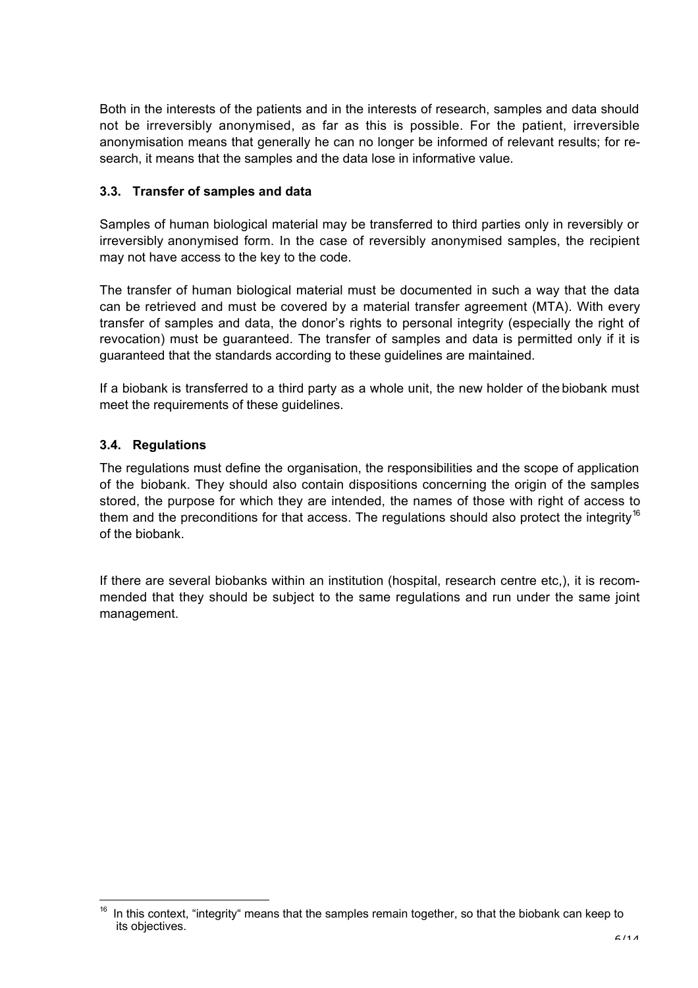Both in the interests of the patients and in the interests of research, samples and data should not be irreversibly anonymised, as far as this is possible. For the patient, irreversible anonymisation means that generally he can no longer be informed of relevant results; for research, it means that the samples and the data lose in informative value.

#### **3.3. Transfer of samples and data**

Samples of human biological material may be transferred to third parties only in reversibly or irreversibly anonymised form. In the case of reversibly anonymised samples, the recipient may not have access to the key to the code.

The transfer of human biological material must be documented in such a way that the data can be retrieved and must be covered by a material transfer agreement (MTA). With every transfer of samples and data, the donor's rights to personal integrity (especially the right of revocation) must be guaranteed. The transfer of samples and data is permitted only if it is guaranteed that the standards according to these guidelines are maintained.

If a biobank is transferred to a third party as a whole unit, the new holder of the biobank must meet the requirements of these guidelines.

#### **3.4. Regulations**

The regulations must define the organisation, the responsibilities and the scope of application of the biobank. They should also contain dispositions concerning the origin of the samples stored, the purpose for which they are intended, the names of those with right of access to them and the preconditions for that access. The regulations should also protect the integrity<sup>16</sup> of the biobank.

If there are several biobanks within an institution (hospital, research centre etc,), it is recommended that they should be subject to the same regulations and run under the same joint management.

 $\frac{1}{16}$  In this context, "integrity" means that the samples remain together, so that the biobank can keep to its objectives.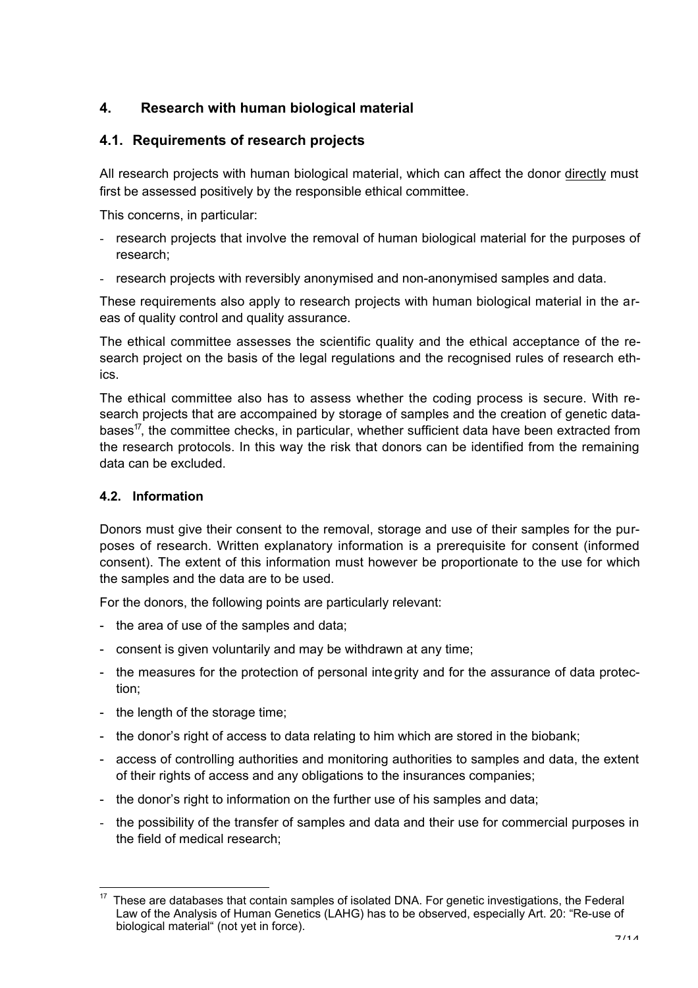### **4. Research with human biological material**

#### **4.1. Requirements of research projects**

All research projects with human biological material, which can affect the donor directly must first be assessed positively by the responsible ethical committee.

This concerns, in particular:

- research projects that involve the removal of human biological material for the purposes of research;
- research projects with reversibly anonymised and non-anonymised samples and data.

These requirements also apply to research projects with human biological material in the areas of quality control and quality assurance.

The ethical committee assesses the scientific quality and the ethical acceptance of the research project on the basis of the legal regulations and the recognised rules of research ethics.

The ethical committee also has to assess whether the coding process is secure. With research projects that are accompained by storage of samples and the creation of genetic databases<sup>17</sup>, the committee checks, in particular, whether sufficient data have been extracted from the research protocols. In this way the risk that donors can be identified from the remaining data can be excluded.

#### **4.2. Information**

Donors must give their consent to the removal, storage and use of their samples for the purposes of research. Written explanatory information is a prerequisite for consent (informed consent). The extent of this information must however be proportionate to the use for which the samples and the data are to be used.

For the donors, the following points are particularly relevant:

- the area of use of the samples and data;
- consent is given voluntarily and may be withdrawn at any time;
- the measures for the protection of personal integrity and for the assurance of data protection;
- the length of the storage time;
- the donor's right of access to data relating to him which are stored in the biobank;
- access of controlling authorities and monitoring authorities to samples and data, the extent of their rights of access and any obligations to the insurances companies;
- the donor's right to information on the further use of his samples and data;
- the possibility of the transfer of samples and data and their use for commercial purposes in the field of medical research;

 $\frac{1}{17}$  These are databases that contain samples of isolated DNA. For genetic investigations, the Federal Law of the Analysis of Human Genetics (LAHG) has to be observed, especially Art. 20: "Re-use of biological material" (not yet in force).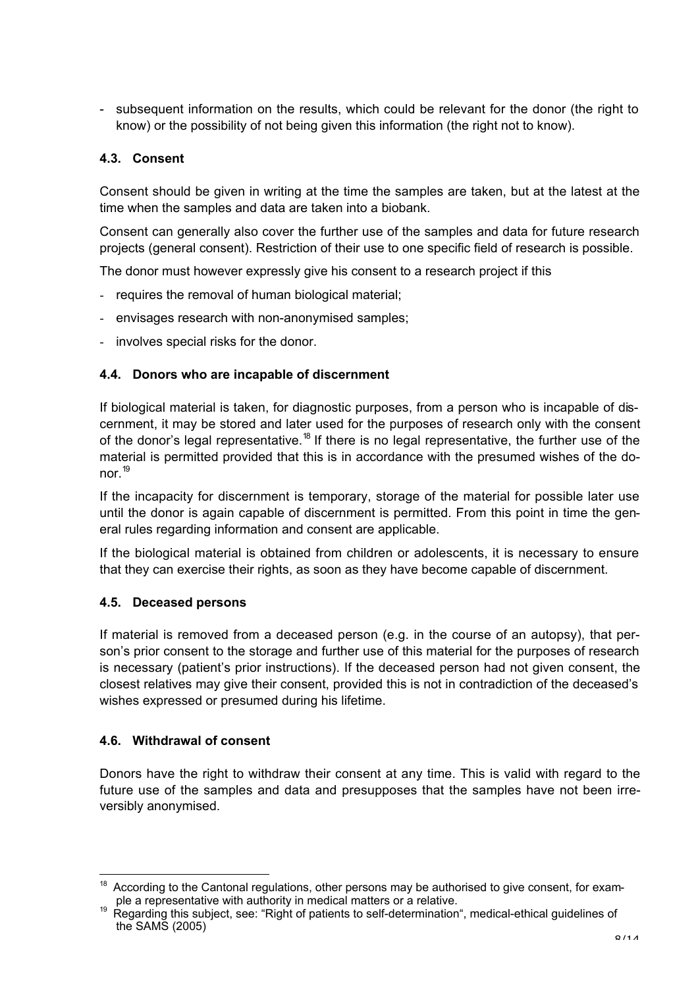- subsequent information on the results, which could be relevant for the donor (the right to know) or the possibility of not being given this information (the right not to know).

#### **4.3. Consent**

Consent should be given in writing at the time the samples are taken, but at the latest at the time when the samples and data are taken into a biobank.

Consent can generally also cover the further use of the samples and data for future research projects (general consent). Restriction of their use to one specific field of research is possible.

The donor must however expressly give his consent to a research project if this

- requires the removal of human biological material;
- envisages research with non-anonymised samples;
- involves special risks for the donor.

#### **4.4. Donors who are incapable of discernment**

If biological material is taken, for diagnostic purposes, from a person who is incapable of discernment, it may be stored and later used for the purposes of research only with the consent of the donor's legal representative.<sup>18</sup> If there is no legal representative, the further use of the material is permitted provided that this is in accordance with the presumed wishes of the donor $19$ 

If the incapacity for discernment is temporary, storage of the material for possible later use until the donor is again capable of discernment is permitted. From this point in time the general rules regarding information and consent are applicable.

If the biological material is obtained from children or adolescents, it is necessary to ensure that they can exercise their rights, as soon as they have become capable of discernment.

#### **4.5. Deceased persons**

If material is removed from a deceased person (e.g. in the course of an autopsy), that person's prior consent to the storage and further use of this material for the purposes of research is necessary (patient's prior instructions). If the deceased person had not given consent, the closest relatives may give their consent, provided this is not in contradiction of the deceased's wishes expressed or presumed during his lifetime.

#### **4.6. Withdrawal of consent**

Donors have the right to withdraw their consent at any time. This is valid with regard to the future use of the samples and data and presupposes that the samples have not been irreversibly anonymised.

 $\frac{1}{18}$  According to the Cantonal regulations, other persons may be authorised to give consent, for example a representative with authority in medical matters or a relative.

Regarding this subject, see: "Right of patients to self-determination", medical-ethical guidelines of the SAMS (2005)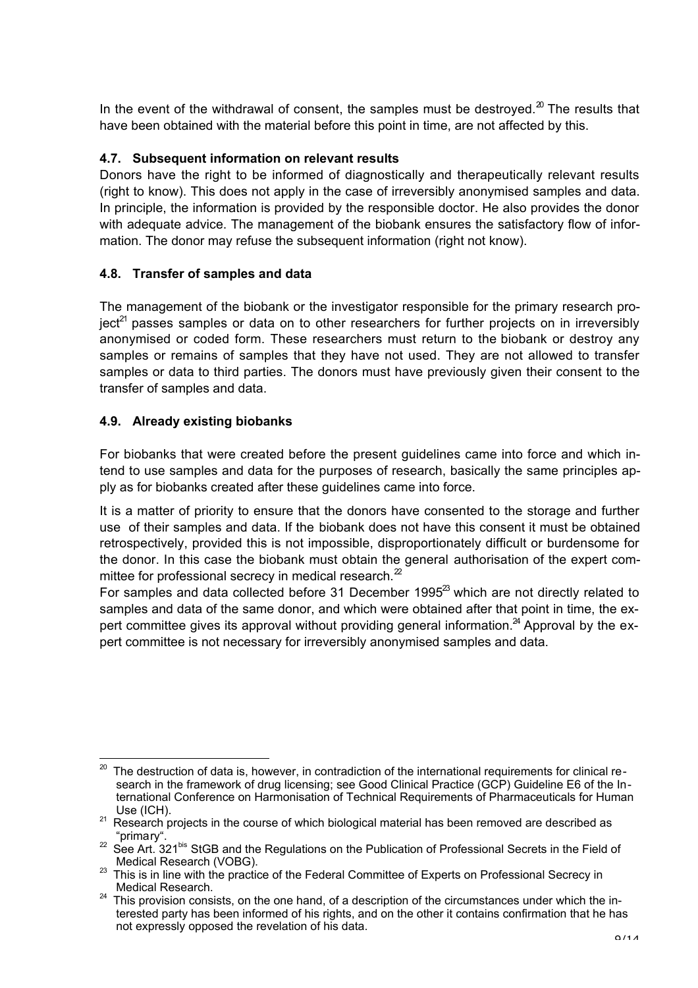In the event of the withdrawal of consent, the samples must be destroyed.<sup>20</sup> The results that have been obtained with the material before this point in time, are not affected by this.

#### **4.7. Subsequent information on relevant results**

Donors have the right to be informed of diagnostically and therapeutically relevant results (right to know). This does not apply in the case of irreversibly anonymised samples and data. In principle, the information is provided by the responsible doctor. He also provides the donor with adequate advice. The management of the biobank ensures the satisfactory flow of information. The donor may refuse the subsequent information (right not know).

#### **4.8. Transfer of samples and data**

The management of the biobank or the investigator responsible for the primary research pro- $\text{ject}^{21}$  passes samples or data on to other researchers for further projects on in irreversibly anonymised or coded form. These researchers must return to the biobank or destroy any samples or remains of samples that they have not used. They are not allowed to transfer samples or data to third parties. The donors must have previously given their consent to the transfer of samples and data.

#### **4.9. Already existing biobanks**

For biobanks that were created before the present guidelines came into force and which intend to use samples and data for the purposes of research, basically the same principles apply as for biobanks created after these guidelines came into force.

It is a matter of priority to ensure that the donors have consented to the storage and further use of their samples and data. If the biobank does not have this consent it must be obtained retrospectively, provided this is not impossible, disproportionately difficult or burdensome for the donor. In this case the biobank must obtain the general authorisation of the expert committee for professional secrecy in medical research. $^{2}$ 

For samples and data collected before 31 December 1995 $^{23}$  which are not directly related to samples and data of the same donor, and which were obtained after that point in time, the expert committee gives its approval without providing general information.<sup>24</sup> Approval by the expert committee is not necessary for irreversibly anonymised samples and data.

 <sup>20</sup> The destruction of data is, however, in contradiction of the international requirements for clinical research in the framework of drug licensing; see Good Clinical Practice (GCP) Guideline E6 of the International Conference on Harmonisation of Technical Requirements of Pharmaceuticals for Human

Use (ICH).<br><sup>21</sup> Research projects in the course of which biological material has been removed are described as

<sup>&</sup>quot;primary".<br><sup>22</sup> See Art. 321<sup>bis</sup> StGB and the Regulations on the Publication of Professional Secrets in the Field of

Medical Research (VOBG).<br><sup>23</sup> This is in line with the practice of the Federal Committee of Experts on Professional Secrecy in Medical Research.

 $24$  This provision consists, on the one hand, of a description of the circumstances under which the interested party has been informed of his rights, and on the other it contains confirmation that he has not expressly opposed the revelation of his data.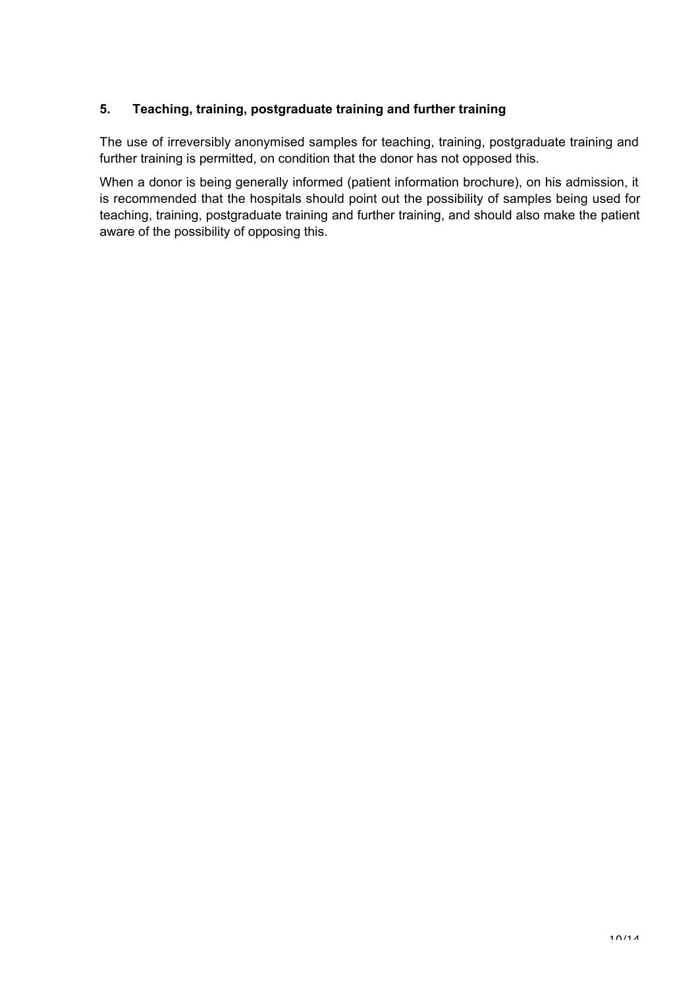#### **5. Teaching, training, postgraduate training and further training**

The use of irreversibly anonymised samples for teaching, training, postgraduate training and further training is permitted, on condition that the donor has not opposed this.

When a donor is being generally informed (patient information brochure), on his admission, it is recommended that the hospitals should point out the possibility of samples being used for teaching, training, postgraduate training and further training, and should also make the patient aware of the possibility of opposing this.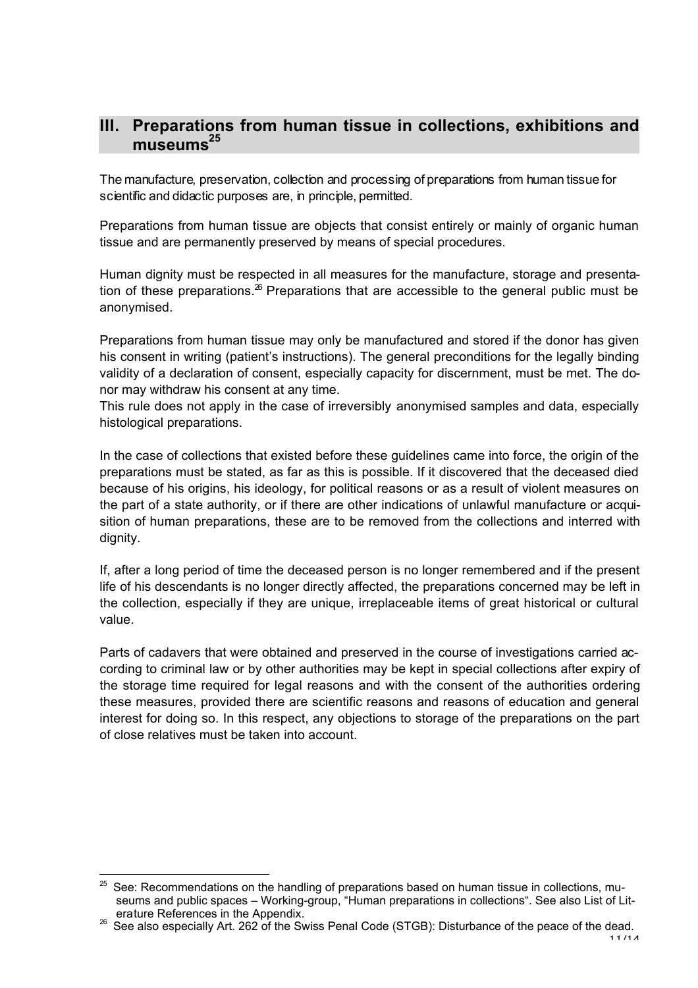### **III. Preparations from human tissue in collections, exhibitions and** museums<sup>25</sup>

The manufacture, preservation, collection and processing of preparations from human tissue for scientific and didactic purposes are, in principle, permitted.

Preparations from human tissue are objects that consist entirely or mainly of organic human tissue and are permanently preserved by means of special procedures.

Human dignity must be respected in all measures for the manufacture, storage and presentation of these preparations. $^{26}$  Preparations that are accessible to the general public must be anonymised.

Preparations from human tissue may only be manufactured and stored if the donor has given his consent in writing (patient's instructions). The general preconditions for the legally binding validity of a declaration of consent, especially capacity for discernment, must be met. The donor may withdraw his consent at any time.

This rule does not apply in the case of irreversibly anonymised samples and data, especially histological preparations.

In the case of collections that existed before these guidelines came into force, the origin of the preparations must be stated, as far as this is possible. If it discovered that the deceased died because of his origins, his ideology, for political reasons or as a result of violent measures on the part of a state authority, or if there are other indications of unlawful manufacture or acquisition of human preparations, these are to be removed from the collections and interred with dignity.

If, after a long period of time the deceased person is no longer remembered and if the present life of his descendants is no longer directly affected, the preparations concerned may be left in the collection, especially if they are unique, irreplaceable items of great historical or cultural value.

Parts of cadavers that were obtained and preserved in the course of investigations carried according to criminal law or by other authorities may be kept in special collections after expiry of the storage time required for legal reasons and with the consent of the authorities ordering these measures, provided there are scientific reasons and reasons of education and general interest for doing so. In this respect, any objections to storage of the preparations on the part of close relatives must be taken into account.

 $\frac{1}{25}$  See: Recommendations on the handling of preparations based on human tissue in collections, museums and public spaces – Working-group, "Human preparations in collections". See also List of Lit-

erature References in the Appendix. <sup>26</sup> See also especially Art. 262 of the Swiss Penal Code (STGB): Disturbance of the peace of the dead.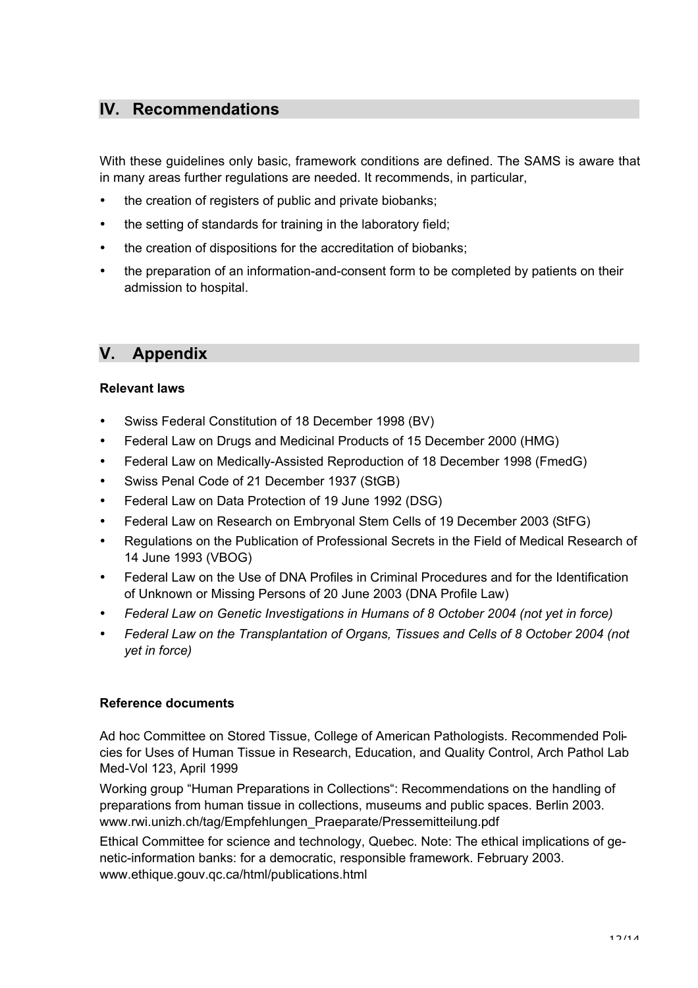### **IV. Recommendations**

With these guidelines only basic, framework conditions are defined. The SAMS is aware that in many areas further regulations are needed. It recommends, in particular,

- the creation of registers of public and private biobanks:
- the setting of standards for training in the laboratory field;
- the creation of dispositions for the accreditation of biobanks;
- the preparation of an information-and-consent form to be completed by patients on their admission to hospital.

### **V. Appendix**

#### **Relevant laws**

- Swiss Federal Constitution of 18 December 1998 (BV)
- Federal Law on Drugs and Medicinal Products of 15 December 2000 (HMG)
- Federal Law on Medically-Assisted Reproduction of 18 December 1998 (FmedG)
- Swiss Penal Code of 21 December 1937 (StGB)
- Federal Law on Data Protection of 19 June 1992 (DSG)
- Federal Law on Research on Embryonal Stem Cells of 19 December 2003 (StFG)
- Regulations on the Publication of Professional Secrets in the Field of Medical Research of 14 June 1993 (VBOG)
- Federal Law on the Use of DNA Profiles in Criminal Procedures and for the Identification of Unknown or Missing Persons of 20 June 2003 (DNA Profile Law)
- *Federal Law on Genetic Investigations in Humans of 8 October 2004 (not yet in force)*
- *Federal Law on the Transplantation of Organs, Tissues and Cells of 8 October 2004 (not yet in force)*

#### **Reference documents**

Ad hoc Committee on Stored Tissue, College of American Pathologists. Recommended Policies for Uses of Human Tissue in Research, Education, and Quality Control, Arch Pathol Lab Med-Vol 123, April 1999

Working group "Human Preparations in Collections": Recommendations on the handling of preparations from human tissue in collections, museums and public spaces. Berlin 2003. www.rwi.unizh.ch/tag/Empfehlungen\_Praeparate/Pressemitteilung.pdf

Ethical Committee for science and technology, Quebec. Note: The ethical implications of genetic-information banks: for a democratic, responsible framework. February 2003. www.ethique.gouv.qc.ca/html/publications.html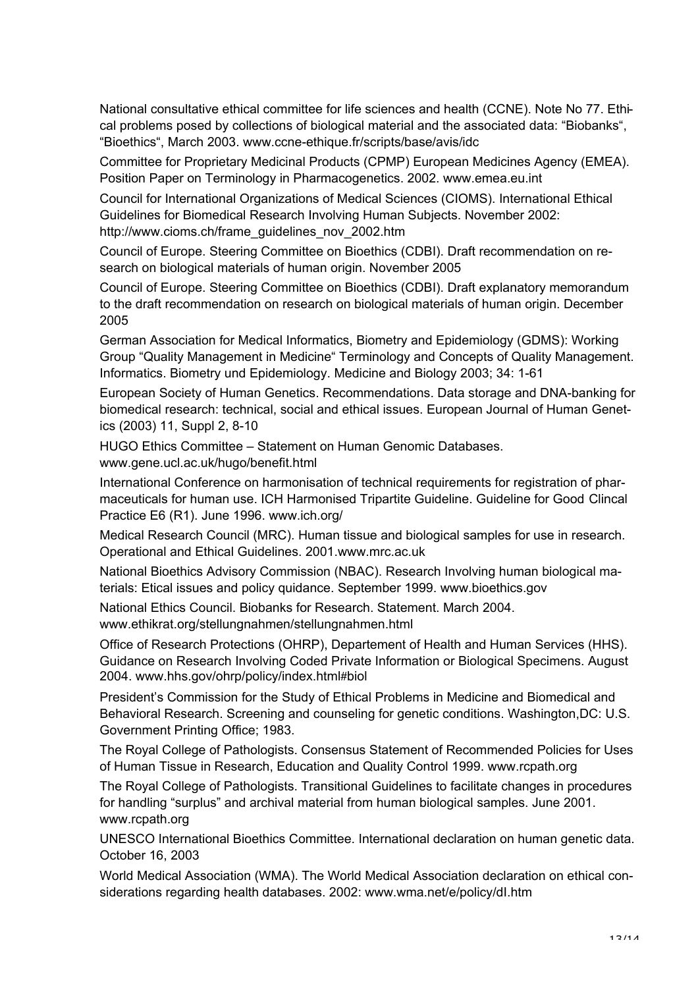National consultative ethical committee for life sciences and health (CCNE). Note No 77. Ethical problems posed by collections of biological material and the associated data: "Biobanks", "Bioethics", March 2003. www.ccne-ethique.fr/scripts/base/avis/idc

Committee for Proprietary Medicinal Products (CPMP) European Medicines Agency (EMEA). Position Paper on Terminology in Pharmacogenetics. 2002. www.emea.eu.int

Council for International Organizations of Medical Sciences (CIOMS). International Ethical Guidelines for Biomedical Research Involving Human Subjects. November 2002: http://www.cioms.ch/frame\_guidelines\_nov\_2002.htm

Council of Europe. Steering Committee on Bioethics (CDBI). Draft recommendation on research on biological materials of human origin. November 2005

Council of Europe. Steering Committee on Bioethics (CDBI). Draft explanatory memorandum to the draft recommendation on research on biological materials of human origin. December 2005

German Association for Medical Informatics, Biometry and Epidemiology (GDMS): Working Group "Quality Management in Medicine" Terminology and Concepts of Quality Management. Informatics. Biometry und Epidemiology. Medicine and Biology 2003; 34: 1-61

European Society of Human Genetics. Recommendations. Data storage and DNA-banking for biomedical research: technical, social and ethical issues. European Journal of Human Genetics (2003) 11, Suppl 2, 8-10

HUGO Ethics Committee – Statement on Human Genomic Databases.

www.gene.ucl.ac.uk/hugo/benefit.html

International Conference on harmonisation of technical requirements for registration of pharmaceuticals for human use. ICH Harmonised Tripartite Guideline. Guideline for Good Clincal Practice E6 (R1). June 1996. www.ich.org/

Medical Research Council (MRC). Human tissue and biological samples for use in research. Operational and Ethical Guidelines. 2001.www.mrc.ac.uk

National Bioethics Advisory Commission (NBAC). Research Involving human biological materials: Etical issues and policy quidance. September 1999. www.bioethics.gov

National Ethics Council. Biobanks for Research. Statement. March 2004.

www.ethikrat.org/stellungnahmen/stellungnahmen.html

Office of Research Protections (OHRP), Departement of Health and Human Services (HHS). Guidance on Research Involving Coded Private Information or Biological Specimens. August 2004. www.hhs.gov/ohrp/policy/index.html#biol

President's Commission for the Study of Ethical Problems in Medicine and Biomedical and Behavioral Research. Screening and counseling for genetic conditions. Washington,DC: U.S. Government Printing Office; 1983.

The Royal College of Pathologists. Consensus Statement of Recommended Policies for Uses of Human Tissue in Research, Education and Quality Control 1999. www.rcpath.org

The Royal College of Pathologists. Transitional Guidelines to facilitate changes in procedures for handling "surplus" and archival material from human biological samples. June 2001. www.rcpath.org

UNESCO International Bioethics Committee. International declaration on human genetic data. October 16, 2003

World Medical Association (WMA). The World Medical Association declaration on ethical considerations regarding health databases. 2002: www.wma.net/e/policy/dI.htm